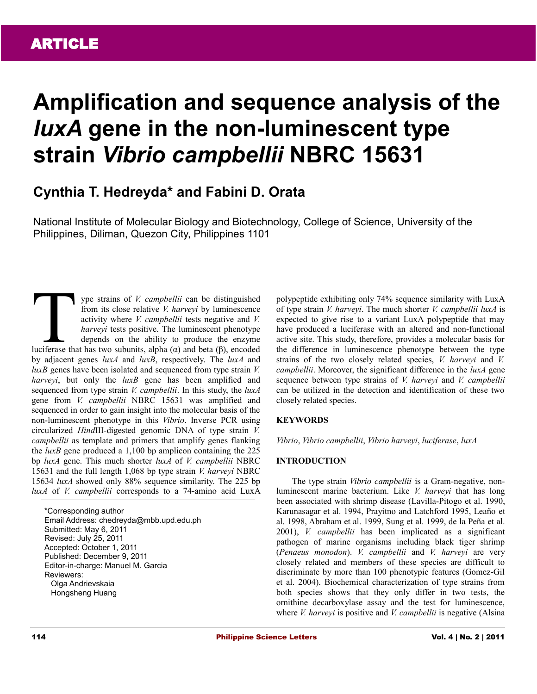# **Amplification and sequence analysis of the**  *luxA* **gene in the non-luminescent type strain** *Vibrio campbellii* **NBRC 15631**

# **Cynthia T. Hedreyda\* and Fabini D. Orata**

National Institute of Molecular Biology and Biotechnology, College of Science, University of the Philippines, Diliman, Quezon City, Philippines 1101

ype strains of *V. campbellii* can be distinguished from its close relative *V. harveyi* by luminescence activity where *V. campbellii* tests negative and *V. harveyi* tests positive. The luminescent phenotype depends on the ability to produce the enzyme If the subset of *V. campbellii* can be distinguished<br>from its close relative *V. harveyi* by luminescence<br>activity where *V. campbellii* tests negative and *V.*<br>*harveyi* tests positive. The luminescent phenotype<br>depend by adjacent genes *luxA* and *luxB*, respectively. The *luxA* and *luxB* genes have been isolated and sequenced from type strain *V. harveyi*, but only the *luxB* gene has been amplified and sequenced from type strain *V. campbellii*. In this study, the *luxA* gene from *V. campbellii* NBRC 15631 was amplified and sequenced in order to gain insight into the molecular basis of the non-luminescent phenotype in this *Vibrio*. Inverse PCR using circularized *Hind*III-digested genomic DNA of type strain *V. campbellii* as template and primers that amplify genes flanking the *luxB* gene produced a 1,100 bp amplicon containing the 225 bp *luxA* gene. This much shorter *luxA* of *V. campbellii* NBRC 15631 and the full length 1,068 bp type strain *V. harveyi* NBRC 15634 *luxA* showed only 88% sequence similarity. The 225 bp *luxA* of *V. campbellii* corresponds to a 74-amino acid LuxA

\*Corresponding author Email Address: chedreyda@mbb.upd.edu.ph Submitted: May 6, 2011 Revised: July 25, 2011 Accepted: October 1, 2011 Published: December 9, 2011 Editor-in-charge: Manuel M. Garcia Reviewers: Olga Andrievskaia Hongsheng Huang

polypeptide exhibiting only 74% sequence similarity with LuxA of type strain *V. harveyi*. The much shorter *V. campbellii luxA* is expected to give rise to a variant LuxA polypeptide that may have produced a luciferase with an altered and non-functional active site. This study, therefore, provides a molecular basis for the difference in luminescence phenotype between the type strains of the two closely related species, *V. harveyi* and *V. campbellii*. Moreover, the significant difference in the *luxA* gene sequence between type strains of *V. harveyi* and *V. campbellii* can be utilized in the detection and identification of these two closely related species.

# **KEYWORDS**

*Vibrio*, *Vibrio campbellii*, *Vibrio harveyi*, *luciferase*, *luxA*

### **INTRODUCTION**

The type strain *Vibrio campbellii* is a Gram-negative, nonluminescent marine bacterium. Like *V. harveyi* that has long been associated with shrimp disease (Lavilla-Pitogo et al. 1990, Karunasagar et al. 1994, Prayitno and Latchford 1995, Leaño et al. 1998, Abraham et al. 1999, Sung et al. 1999, de la Peña et al. 2001), *V. campbellii* has been implicated as a significant pathogen of marine organisms including black tiger shrimp (*Penaeus monodon*). *V. campbellii* and *V. harveyi* are very closely related and members of these species are difficult to discriminate by more than 100 phenotypic features (Gomez-Gil et al. 2004). Biochemical characterization of type strains from both species shows that they only differ in two tests, the ornithine decarboxylase assay and the test for luminescence, where *V. harveyi* is positive and *V. campbellii* is negative (Alsina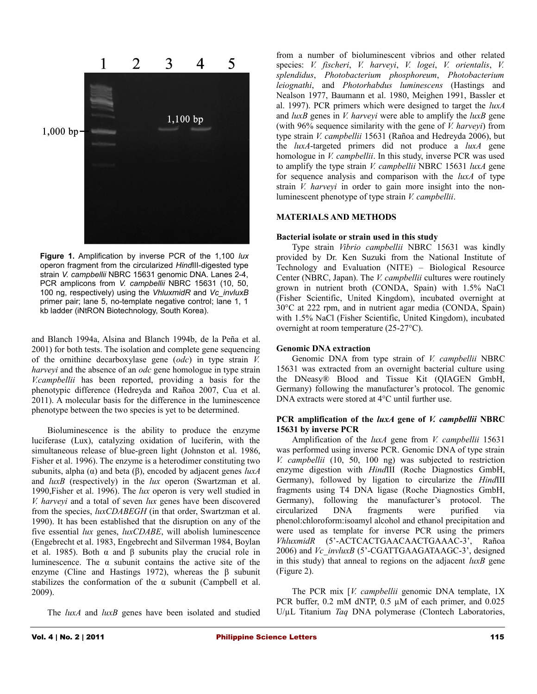

**Figure 1.** Amplification by inverse PCR of the 1,100 *lux* operon fragment from the circularized *Hind*III-digested type strain *V. campbellii* NBRC 15631 genomic DNA. Lanes 2-4, PCR amplicons from *V. campbellii* NBRC 15631 (10, 50, 100 ng, respectively) using the *VhluxmidR* and *Vc\_invluxB* primer pair; lane 5, no-template negative control; lane 1, 1 kb ladder (iNtRON Biotechnology, South Korea).

and Blanch 1994a, Alsina and Blanch 1994b, de la Peña et al. 2001) for both tests. The isolation and complete gene sequencing of the ornithine decarboxylase gene (*odc*) in type strain *V. harveyi* and the absence of an *odc* gene homologue in type strain *V.campbellii* has been reported, providing a basis for the phenotypic difference (Hedreyda and Rañoa 2007, Cua et al. 2011). A molecular basis for the difference in the luminescence phenotype between the two species is yet to be determined.

Bioluminescence is the ability to produce the enzyme luciferase (Lux), catalyzing oxidation of luciferin, with the simultaneous release of blue-green light (Johnston et al. 1986, Fisher et al. 1996). The enzyme is a heterodimer constituting two subunits, alpha (α) and beta (β), encoded by adjacent genes *luxA* and *luxB* (respectively) in the *lux* operon (Swartzman et al. 1990,Fisher et al. 1996). The *lux* operon is very well studied in *V. harveyi* and a total of seven *lux* genes have been discovered from the species, *luxCDABEGH* (in that order, Swartzman et al. 1990). It has been established that the disruption on any of the five essential *lux* genes, *luxCDABE*, will abolish luminescence (Engebrecht et al. 1983, Engebrecht and Silverman 1984, Boylan et al. 1985). Both  $\alpha$  and  $\beta$  subunits play the crucial role in luminescence. The  $\alpha$  subunit contains the active site of the enzyme (Cline and Hastings 1972), whereas the β subunit stabilizes the conformation of the  $\alpha$  subunit (Campbell et al. 2009).

The *luxA* and *luxB* genes have been isolated and studied

from a number of bioluminescent vibrios and other related species: *V. fischeri*, *V. harveyi*, *V. logei*, *V. orientalis*, *V. splendidus*, *Photobacterium phosphoreum*, *Photobacterium leiognathi*, and *Photorhabdus luminescens* (Hastings and Nealson 1977, Baumann et al. 1980, Meighen 1991, Bassler et al. 1997). PCR primers which were designed to target the *luxA* and *luxB* genes in *V. harveyi* were able to amplify the *luxB* gene (with 96% sequence similarity with the gene of *V. harveyi*) from type strain *V. campbellii* 15631 (Rañoa and Hedreyda 2006), but the *luxA*-targeted primers did not produce a *luxA* gene homologue in *V. campbellii*. In this study, inverse PCR was used to amplify the type strain *V. campbellii* NBRC 15631 *luxA* gene for sequence analysis and comparison with the *luxA* of type strain *V. harveyi* in order to gain more insight into the nonluminescent phenotype of type strain *V. campbellii*.

# **MATERIALS AND METHODS**

### **Bacterial isolate or strain used in this study**

Type strain *Vibrio campbellii* NBRC 15631 was kindly provided by Dr. Ken Suzuki from the National Institute of Technology and Evaluation (NITE) – Biological Resource Center (NBRC, Japan). The *V. campbellii* cultures were routinely grown in nutrient broth (CONDA, Spain) with 1.5% NaCl (Fisher Scientific, United Kingdom), incubated overnight at 30°C at 222 rpm, and in nutrient agar media (CONDA, Spain) with 1.5% NaCl (Fisher Scientific, United Kingdom), incubated overnight at room temperature (25-27°C).

### **Genomic DNA extraction**

Genomic DNA from type strain of *V. campbellii* NBRC 15631 was extracted from an overnight bacterial culture using the DNeasy® Blood and Tissue Kit (QIAGEN GmbH, Germany) following the manufacturer's protocol. The genomic DNA extracts were stored at 4°C until further use.

## **PCR amplification of the** *luxA* **gene of** *V. campbellii* **NBRC 15631 by inverse PCR**

Amplification of the *luxA* gene from *V. campbellii* 15631 was performed using inverse PCR. Genomic DNA of type strain *V. campbellii* (10, 50, 100 ng) was subjected to restriction enzyme digestion with *Hind*III (Roche Diagnostics GmbH, Germany), followed by ligation to circularize the *Hind*III fragments using T4 DNA ligase (Roche Diagnostics GmbH, Germany), following the manufacturer's protocol. The circularized DNA fragments were purified via phenol:chloroform:isoamyl alcohol and ethanol precipitation and were used as template for inverse PCR using the primers *VhluxmidR* (5'-ACTCACTGAACAACTGAAAC-3', Rañoa 2006) and *Vc* invluxB (5'-CGATTGAAGATAAGC-3', designed in this study) that anneal to regions on the adjacent *luxB* gene (Figure 2).

The PCR mix [*V. campbellii* genomic DNA template, 1X PCR buffer, 0.2 mM dNTP, 0.5  $\mu$ M of each primer, and 0.025 U/µL Titanium *Taq* DNA polymerase (Clontech Laboratories,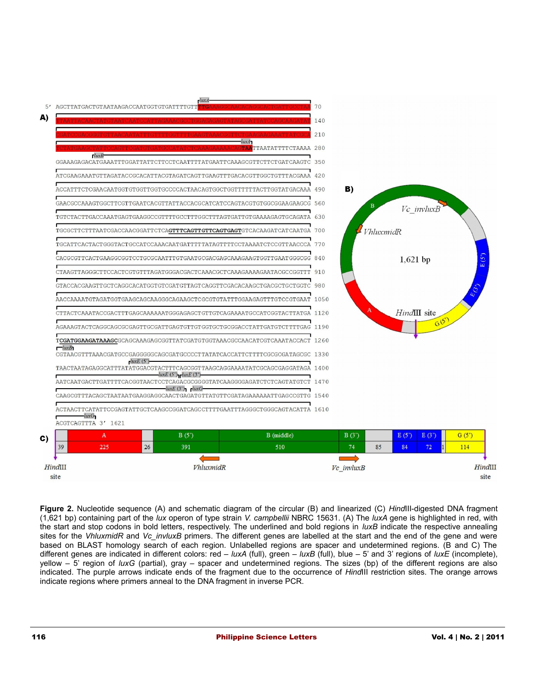

**Figure 2.** Nucleotide sequence (A) and schematic diagram of the circular (B) and linearized (C) *Hind*III-digested DNA fragment (1,621 bp) containing part of the *lux* operon of type strain *V. campbellii* NBRC 15631. (A) The *luxA* gene is highlighted in red, with the start and stop codons in bold letters, respectively. The underlined and bold regions in *luxB* indicate the respective annealing sites for the *VhluxmidR* and *Vc* invluxB primers. The different genes are labelled at the start and the end of the gene and were based on BLAST homology search of each region. Unlabelled regions are spacer and undetermined regions. (B and C) The different genes are indicated in different colors: red – *luxA* (full), green – *luxB* (full), blue – 5' and 3' regions of *luxE* (incomplete), yellow – 5' region of *luxG* (partial), gray – spacer and undetermined regions. The sizes (bp) of the different regions are also indicated. The purple arrows indicate ends of the fragment due to the occurrence of *Hind*III restriction sites. The orange arrows indicate regions where primers anneal to the DNA fragment in inverse PCR.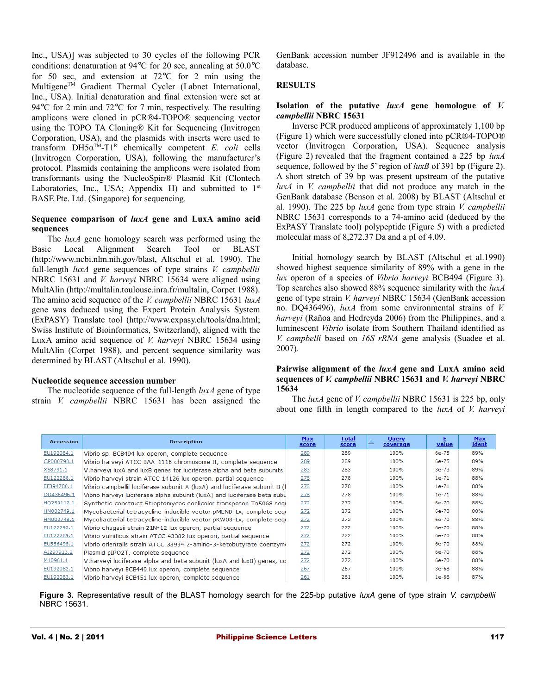Inc., USA)] was subjected to 30 cycles of the following PCR conditions: denaturation at 94°C for 20 sec, annealing at 50.0°C for 50 sec, and extension at 72°C for 2 min using the Multigene<sup>TM</sup> Gradient Thermal Cycler (Labnet International, Inc., USA). Initial denaturation and final extension were set at 94 °C for 2 min and 72 °C for 7 min, respectively. The resulting amplicons were cloned in pCR®4-TOPO® sequencing vector using the TOPO TA Cloning® Kit for Sequencing (Invitrogen Corporation, USA), and the plasmids with inserts were used to transform  $DH5\alpha^{TM} - T1^{R}$  chemically competent *E. coli* cells (Invitrogen Corporation, USA), following the manufacturer's protocol. Plasmids containing the amplicons were isolated from transformants using the NucleoSpin® Plasmid Kit (Clontech Laboratories, Inc., USA; Appendix H) and submitted to  $1<sup>st</sup>$ BASE Pte. Ltd. (Singapore) for sequencing.

# **Sequence comparison of** *luxA* **gene and LuxA amino acid sequences**

The *luxA* gene homology search was performed using the Basic Local Alignment Search Tool or BLAST (http://www.ncbi.nlm.nih.gov/blast, Altschul et al. 1990). The full-length *luxA* gene sequences of type strains *V. campbellii* NBRC 15631 and *V. harveyi* NBRC 15634 were aligned using MultAlin (http://multalin.toulouse.inra.fr/multalin, Corpet 1988). The amino acid sequence of the *V. campbellii* NBRC 15631 *luxA* gene was deduced using the Expert Protein Analysis System (ExPASY) Translate tool (http://www.expasy.ch/tools/dna.html; Swiss Institute of Bioinformatics, Switzerland), aligned with the LuxA amino acid sequence of *V. harveyi* NBRC 15634 using MultAlin (Corpet 1988), and percent sequence similarity was determined by BLAST (Altschul et al. 1990).

# **Nucleotide sequence accession number**

The nucleotide sequence of the full-length *luxA* gene of type strain *V. campbellii* NBRC 15631 has been assigned the GenBank accession number JF912496 and is available in the database.

# **RESULTS**

# **Isolation of the putative** *luxA* **gene homologue of** *V. campbellii* **NBRC 15631**

Inverse PCR produced amplicons of approximately 1,100 bp (Figure 1) which were successfully cloned into pCR®4-TOPO® vector (Invitrogen Corporation, USA). Sequence analysis (Figure 2) revealed that the fragment contained a 225 bp *luxA* sequence, followed by the 5' region of *luxB* of 391 bp (Figure 2). A short stretch of 39 bp was present upstream of the putative *luxA* in *V. campbellii* that did not produce any match in the GenBank database (Benson et al*.* 2008) by BLAST (Altschul et al*.* 1990). The 225 bp *luxA* gene from type strain *V. campbellii* NBRC 15631 corresponds to a 74-amino acid (deduced by the ExPASY Translate tool) polypeptide (Figure 5) with a predicted molecular mass of 8,272.37 Da and a pI of 4.09.

Initial homology search by BLAST (Altschul et al.1990) showed highest sequence similarity of 89% with a gene in the *lux* operon of a species of *Vibrio harveyi* BCB494 (Figure 3). Top searches also showed 88% sequence similarity with the *luxA* gene of type strain *V. harveyi* NBRC 15634 (GenBank accession no. DQ436496), *luxA* from some environmental strains of *V. harveyi* (Rañoa and Hedreyda 2006) from the Philippines, and a luminescent *Vibrio* isolate from Southern Thailand identified as *V. campbelli* based on *16S rRNA* gene analysis (Suadee et al. 2007).

# **Pairwise alignment of the** *luxA* **gene and LuxA amino acid sequences of** *V. campbellii* **NBRC 15631 and** *V. harveyi* **NBRC 15634**

The *luxA* gene of *V. campbellii* NBRC 15631 is 225 bp, only about one fifth in length compared to the *luxA* of *V. harveyi*

| <b>Accession</b> | <b>Description</b>                                                        | <b>Max</b><br><b>score</b> | <b>Total</b><br>score | Query<br>coverage | Е<br><u>value</u> | <b>Max</b><br>ident |
|------------------|---------------------------------------------------------------------------|----------------------------|-----------------------|-------------------|-------------------|---------------------|
| EU192084.1       | Vibrio sp. BCB494 lux operon, complete sequence                           | 289                        | 289                   | 100%              | 6e-75             | 89%                 |
| CP000790.1       | Vibrio harveyi ATCC BAA-1116 chromosome II, complete sequence             | 289                        | 289                   | 100%              | 6e-75             | 89%                 |
| X58791.1         | V.harveyi luxA and luxB genes for luciferase alpha and beta subunits      | 283                        | 283                   | 100%              | 3e-73             | 89%                 |
| EU122288.1       | Vibrio harveyi strain ATCC 14126 lux operon, partial sequence             | 278                        | 278                   | 100%              | $1e-71$           | 88%                 |
| EF394780.1       | Vibrio campbellii luciferase subunit A (luxA) and luciferase subunit B (l | 278                        | 278                   | 100%              | 1e-71             | 88%                 |
| DQ436496.1       | Vibrio harveyi luciferase alpha subunit (luxA) and luciferase beta subu   | 278                        | 278                   | 100%              | $1e-71$           | 88%                 |
| HQ259112.1       | Synthetic construct Streptomyces coelicolor transposon Tn5068 seq         | 272                        | 272                   | 100%              | 6e-70             | 88%                 |
| HM002749.1       | Mycobacterial tetracycline-inducible vector pMEND-Lx, complete segi       | 272                        | 272                   | 100%              | 6e-70             | 88%                 |
| HM002748.1       | Mycobacterial tetracycline-inducible vector pKW08-Lx, complete segi       | 272                        | 272                   | 100%              | 6e-70             | 88%                 |
| EU122293.1       | Vibrio chagasii strain 21N-12 lux operon, partial seguence                | 272                        | 272                   | 100%              | 6e-70             | 88%                 |
| EU122289.1       | Vibrio vulnificus strain ATCC 43382 lux operon, partial sequence          | 272                        | 272                   | 100%              | 6e-70             | 88%                 |
| EU556495.1       | Vibrio orientalis strain ATCC 33934 2-amino-3-ketobutyrate coenzymi       | 272                        | 272                   | 100%              | 6e-70             | 88%                 |
| AJ297913.2       | Plasmid pIPO2T, complete sequence                                         | 272                        | 272                   | 100%              | 6e-70             | 88%                 |
| M10961.1         | V.harveyi luciferase alpha and beta subunit (luxA and luxB) genes, cd     | 272                        | 272                   | 100%              | 6e-70             | 88%                 |
| EU192082.1       | Vibrio harveyi BCB440 lux operon, complete sequence                       | 267                        | 267                   | 100%              | 3e-68             | 88%                 |
| EU192083.1       | Vibrio harvevi BCB451 lux operon, complete sequence                       | 261                        | 261                   | 100%              | $1e-66$           | 87%                 |

**Figure 3.** Representative result of the BLAST homology search for the 225-bp putative *luxA* gene of type strain *V. campbellii* NBRC 15631.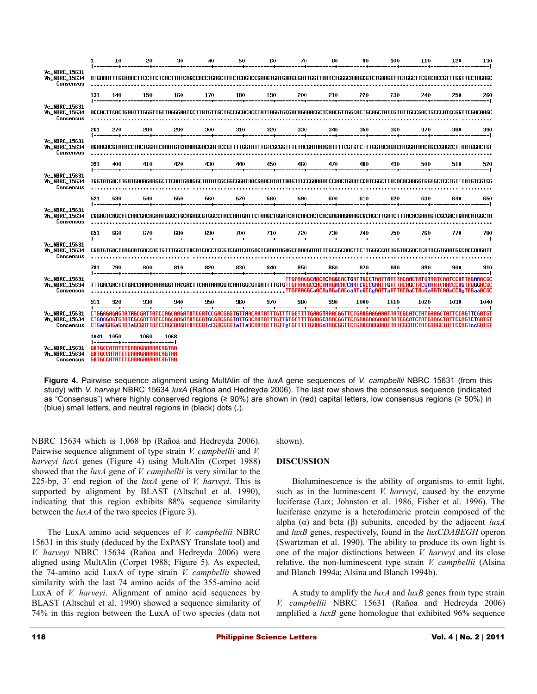|                                                           | $\mathbf{1}$ | 10  | 20                                                                                                                                                                                                                                                                                                                        | 30   | 40   | 50                                                                                                  | 60  | 70  | 80  | 90   | 100  | 110  | 120  | 130  |
|-----------------------------------------------------------|--------------|-----|---------------------------------------------------------------------------------------------------------------------------------------------------------------------------------------------------------------------------------------------------------------------------------------------------------------------------|------|------|-----------------------------------------------------------------------------------------------------|-----|-----|-----|------|------|------|------|------|
| <b>Vc_NBRC_15631</b><br><b>Vh_NBRC_15634</b><br>Consensus |              |     | ATGAAATTTGGAAACTTCCTTCTCACTTATCAGCCACCTGAGCTATCTCAGACCGAAGTGATGAAGCGATTGGTTAATCTGGGCAAAGCGTCTGAAGGTTGTGGCTTCGACACCGTTTGGTTGCTAGAGC                                                                                                                                                                                        |      |      |                                                                                                     |     |     |     |      |      |      |      |      |
|                                                           | 131          | 140 | 150                                                                                                                                                                                                                                                                                                                       | 160  | 170  | 180                                                                                                 | 190 | 200 | 210 | 220  | 230  | 240  | 250  | 260  |
| <b>Vc_NBRC_15631</b><br><b>Vh_NBRC_15634</b><br>Consensus |              |     | ACCACTTCACTGAATTTGGGTTGTTAGGGAATCCTTATGTTGCTGCCGCACACCCTATTAGGTGCGACAGAAACGCTCAACGTTGGCACTGCAGCTATCGTATTGCCGACTGCCCATCCGGTTCGACAAGC                                                                                                                                                                                       |      |      |                                                                                                     |     |     |     |      |      |      |      |      |
|                                                           | 261          | 270 | 280.                                                                                                                                                                                                                                                                                                                      | 290  | 300  | 310<br>--------------------                                                                         | 320 | 330 | 340 | 350  | 360  | 370  | 380  | 390  |
| Vc_NBRC_15631<br><b>Vh_NBRC_15634</b><br>Consensus        |              |     | AGAAGACGTAAACCTACTGGATCAAATGTCAAAAGGACGATTCCGTTTTGGTATTTGTCGCGGTTTGTACGATAAAGATTTTCGTGTCTTTGGTACAGACATGGATAACAGCCGAGCCTTAATGGACTGT                                                                                                                                                                                        |      |      |                                                                                                     |     |     |     |      |      |      |      |      |
|                                                           | 391          | 400 | 410                                                                                                                                                                                                                                                                                                                       | 420  | 430  | 440                                                                                                 | 450 | 460 | 470 | 480  | 490  | 500  | 510  | 520  |
| Vc_NBRC_15631<br><b>Vh_NBRC_15634</b><br>Consensus        |              |     | TGGTATGACTTGATGAAAGAAGGCTTCAATGAAGGCTATATCGCGGCGGATAACGAACATATTAAGTTCCCGAAAATCCAACTGAATCCATCGGCTTACACACAAGGTGCTCCTGTTTATGTCGTCG                                                                                                                                                                                           |      |      |                                                                                                     |     |     |     |      |      |      |      |      |
|                                                           | 521          | 530 | 540                                                                                                                                                                                                                                                                                                                       | 550  | 560  | 570                                                                                                 | 580 | 590 | 600 | 610  | 620  | 630  | 640  | 650  |
| <b>Vc_NBRC_15631</b><br>Vh_NBRC_15634<br>Consensus        |              |     |                                                                                                                                                                                                                                                                                                                           |      |      |                                                                                                     |     |     |     |      |      |      |      |      |
|                                                           | 651          | 660 | 670                                                                                                                                                                                                                                                                                                                       | 680  | 690. | 700.                                                                                                | 710 | 720 | 730 | 740  | 750  | 760  | 770  | 780  |
| Vc_NBRC_15631<br><b>Vh_NBRC_15634</b><br>Consensus        |              |     | CGATGTGACTAAGAATGACCACTGTTTGGCTTACATCACCTCCGTCGATCATGACTCAAATAGAGCCAAAGATATTTGCCGCAACTTCTTGGGCCATTGGTACGACTCATACGTGAATGCCACCAAGATT                                                                                                                                                                                        |      |      |                                                                                                     |     |     |     |      |      |      |      |      |
|                                                           | 781          | 790 | 800                                                                                                                                                                                                                                                                                                                       | 810  | 820  | 830                                                                                                 | 840 | 850 | 860 | 870  | 880  | 890  | 900  | 910  |
| Vc_NBRC_15631<br>Vh_NBRC_15634<br>Consensus               |              |     | TTTGACGACTCTGACCAAACAAAAGGTTACGACTTCAATAAAGGTCAATGGCGTGATTTTGTGTTGAAAGGCCACAAAGACACCAATCGCCGAATTGATTACAGCTACGAAATCAACCCAGTAGGGACGC                                                                                                                                                                                        |      |      |                                                                                                     |     |     |     |      |      |      |      |      |
|                                                           | 911          | 920 | 930-                                                                                                                                                                                                                                                                                                                      | 940. | 950  | 960.                                                                                                | 970 | 980 | 990 | 1000 | 1010 | 1020 | 1030 | 1040 |
| <b>Vc_NBRC_15631</b><br>Vh_NBRC_15634<br>Consensus        |              |     | CTGGAGAGAGTATAGCGATTATCCA<br><u>CTGAAGAGTGTATCGCGATTATCCAGCAAGATATCGATGCGACGGGTATTGACAATATTTGTTGTGGTTTTGAAGCAAACGGTTCTGAAGAAGTTATCGCATCTATGAAGCTATTCCAGTCTGATGT</u><br>CTGaAGAGaGTATaGCGATTATCCAGCAAGATATCGAT $\rm c$ CGACGGGTaTTaACAATATTTGTTgTGGTTTTGAAGCAAACGGTTCTGAAGAAGAAATTATCGCATCTATGAAGCTATTCCAGT $\rm c$ cGATGT |      |      | <u> ICGATCCGACGGGTCTTAACAATATTTGTTTTGGTTTTGAAGTAAACGGTTCTGAAGAAGAAATTATCGCATCTATGAAGCTATTCCAGTT</u> |     |     |     |      |      |      |      |      |
| <b>Vc_NBRC_15631</b><br>Vh_NBRC_15634<br>Consensus        | 1041 1050    |     | 1060<br>GATGCCATATCTCAAAGAAAAACAGTAA<br>GATGCCATATCTCAAAGAAAAACAGTAA<br>GATGCCATATCTCAAAGAAAAACAGTAA                                                                                                                                                                                                                      | 1068 |      |                                                                                                     |     |     |     |      |      |      |      |      |

**Figure 4.** Pairwise sequence alignment using MultAlin of the *luxA* gene sequences of *V. campbellii* NBRC 15631 (from this study) with *V. harveyi* NBRC 15634 *luxA* (Rañoa and Hedreyda 2006). The last row shows the consensus sequence (indicated as "Consensus") where highly conserved regions (≥ 90%) are shown in (red) capital letters, low consensus regions (≥ 50%) in (blue) small letters, and neutral regions in (black) dots (**.**).

NBRC 15634 which is 1,068 bp (Rañoa and Hedreyda 2006). Pairwise sequence alignment of type strain *V. campbellii* and *V. harveyi luxA* genes (Figure 4) using MultAlin (Corpet 1988) showed that the *luxA* gene of *V. campbellii* is very similar to the 225-bp, 3' end region of the *luxA* gene of *V. harveyi*. This is supported by alignment by BLAST (Altschul et al. 1990), indicating that this region exhibits 88% sequence similarity between the *luxA* of the two species (Figure 3).

The LuxA amino acid sequences of *V. campbellii* NBRC 15631 in this study (deduced by the ExPASY Translate tool) and *V. harveyi* NBRC 15634 (Rañoa and Hedreyda 2006) were aligned using MultAlin (Corpet 1988; Figure 5). As expected, the 74-amino acid LuxA of type strain *V. campbellii* showed similarity with the last 74 amino acids of the 355-amino acid LuxA of *V. harveyi*. Alignment of amino acid sequences by BLAST (Altschul et al. 1990) showed a sequence similarity of 74% in this region between the LuxA of two species (data not shown).

### **DISCUSSION**

Bioluminescence is the ability of organisms to emit light, such as in the luminescent *V. harveyi*, caused by the enzyme luciferase (Lux; Johnston et al. 1986, Fisher et al. 1996). The luciferase enzyme is a heterodimeric protein composed of the alpha (α) and beta (β) subunits, encoded by the adjacent *luxA* and *luxB* genes, respectively, found in the *luxCDABEGH* operon (Swartzman et al. 1990). The ability to produce its own light is one of the major distinctions between *V. harveyi* and its close relative, the non-luminescent type strain *V. campbellii* (Alsina and Blanch 1994a; Alsina and Blanch 1994b).

A study to amplify the *luxA* and *luxB* genes from type strain *V. campbellii* NBRC 15631 (Rañoa and Hedreyda 2006) amplified a *luxB* gene homologue that exhibited 96% sequence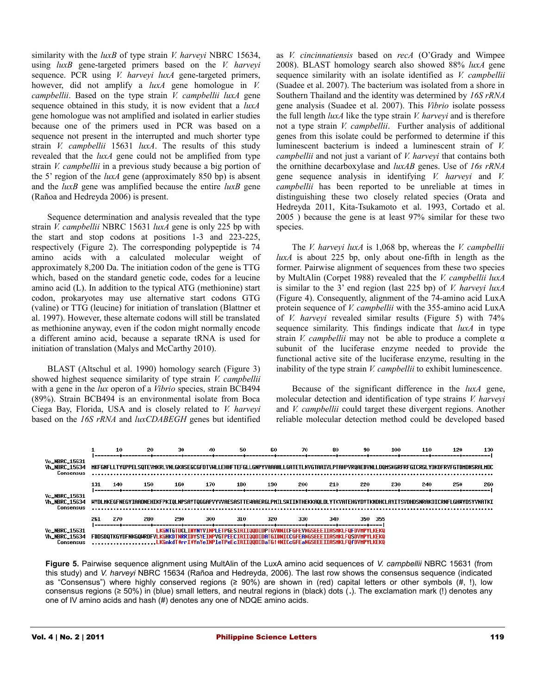similarity with the *luxB* of type strain *V. harveyi* NBRC 15634, using *luxB* gene-targeted primers based on the *V. harveyi* sequence. PCR using *V. harveyi luxA* gene-targeted primers, however, did not amplify a *luxA* gene homologue in *V. campbellii*. Based on the type strain *V. campbellii luxA* gene sequence obtained in this study, it is now evident that a *luxA* gene homologue was not amplified and isolated in earlier studies because one of the primers used in PCR was based on a sequence not present in the interrupted and much shorter type strain *V. campbellii* 15631 *luxA*. The results of this study revealed that the *luxA* gene could not be amplified from type strain *V. campbellii* in a previous study because a big portion of the 5' region of the *luxA* gene (approximately 850 bp) is absent and the *luxB* gene was amplified because the entire *luxB* gene (Rañoa and Hedreyda 2006) is present.

Sequence determination and analysis revealed that the type strain *V. campbellii* NBRC 15631 *luxA* gene is only 225 bp with the start and stop codons at positions 1-3 and 223-225, respectively (Figure 2). The corresponding polypeptide is 74 amino acids with a calculated molecular weight of approximately 8,200 Da. The initiation codon of the gene is TTG which, based on the standard genetic code, codes for a leucine amino acid (L). In addition to the typical ATG (methionine) start codon, prokaryotes may use alternative start codons GTG (valine) or TTG (leucine) for initiation of translation (Blattner et al. 1997). However, these alternate codons will still be translated as methionine anyway, even if the codon might normally encode a different amino acid, because a separate tRNA is used for initiation of translation (Malys and McCarthy 2010).

BLAST (Altschul et al. 1990) homology search (Figure 3) showed highest sequence similarity of type strain *V. campbellii* with a gene in the *lux* operon of a *Vibrio* species, strain BCB494 (89%). Strain BCB494 is an environmental isolate from Boca Ciega Bay, Florida, USA and is closely related to *V. harveyi* based on the *16S rRNA* and *luxCDABEGH* genes but identified as *V. cincinnatiensis* based on *recA* (O'Grady and Wimpee 2008). BLAST homology search also showed 88% *luxA* gene sequence similarity with an isolate identified as *V. campbellii* (Suadee et al. 2007). The bacterium was isolated from a shore in Southern Thailand and the identity was determined by *16S rRNA* gene analysis (Suadee et al. 2007). This *Vibrio* isolate possess the full length *luxA* like the type strain *V. harveyi* and is therefore not a type strain *V. campbellii*. Further analysis of additional genes from this isolate could be performed to determine if this luminescent bacterium is indeed a luminescent strain of *V. campbellii* and not just a variant of *V. harveyi* that contains both the ornithine decarboxylase and *luxAB* genes. Use of *16s rRNA* gene sequence analysis in identifying *V. harveyi* and *V. campbellii* has been reported to be unreliable at times in distinguishing these two closely related species (Orata and Hedreyda 2011, Kita-Tsukamoto et al. 1993, Cortado et al. 2005 ) because the gene is at least 97% similar for these two species.

The *V. harveyi luxA* is 1,068 bp, whereas the *V. campbellii luxA* is about 225 bp, only about one-fifth in length as the former. Pairwise alignment of sequences from these two species by MultAlin (Corpet 1988) revealed that the *V. campbellii luxA* is similar to the 3' end region (last 225 bp) of *V. harveyi luxA* (Figure 4). Consequently, alignment of the 74-amino acid LuxA protein sequence of *V. campbellii* with the 355-amino acid LuxA of *V. harveyi* revealed similar results (Figure 5) with 74% sequence similarity. This findings indicate that *luxA* in type strain *V. campbellii* may not be able to produce a complete α subunit of the luciferase enzyme needed to provide the functional active site of the luciferase enzyme, resulting in the inability of the type strain *V. campbellii* to exhibit luminescence.

Because of the significant difference in the *luxA* gene, molecular detection and identification of type strains *V. harveyi* and *V. campbellii* could target these divergent regions. Another reliable molecular detection method could be developed based



**Figure 5.** Pairwise sequence alignment using MultAlin of the LuxA amino acid sequences of *V. campbellii* NBRC 15631 (from this study) and *V. harveyi* NBRC 15634 (Rañoa and Hedreyda, 2006). The last row shows the consensus sequence (indicated as "Consensus") where highly conserved regions (≥ 90%) are shown in (red) capital letters or other symbols (#, !), low consensus regions (≥ 50%) in (blue) small letters, and neutral regions in (black) dots (**.**). The exclamation mark (!) denotes any one of IV amino acids and hash (#) denotes any one of NDQE amino acids.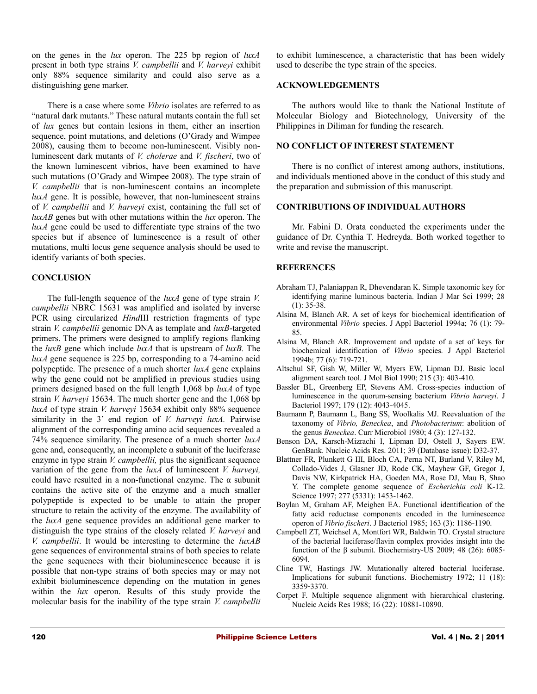on the genes in the *lux* operon. The 225 bp region of *luxA* present in both type strains *V. campbellii* and *V. harveyi* exhibit only 88% sequence similarity and could also serve as a distinguishing gene marker.

There is a case where some *Vibrio* isolates are referred to as "natural dark mutants." These natural mutants contain the full set of *lux* genes but contain lesions in them, either an insertion sequence, point mutations, and deletions (O'Grady and Wimpee 2008), causing them to become non-luminescent. Visibly nonluminescent dark mutants of *V. cholerae* and *V. fischeri*, two of the known luminescent vibrios, have been examined to have such mutations (O'Grady and Wimpee 2008). The type strain of *V. campbellii* that is non-luminescent contains an incomplete *luxA* gene. It is possible, however, that non-luminescent strains of *V. campbellii* and *V. harveyi* exist, containing the full set of *luxAB* genes but with other mutations within the *lux* operon. The *luxA* gene could be used to differentiate type strains of the two species but if absence of luminescence is a result of other mutations, multi locus gene sequence analysis should be used to identify variants of both species.

### **CONCLUSION**

The full-length sequence of the *luxA* gene of type strain *V. campbellii* NBRC 15631 was amplified and isolated by inverse PCR using circularized *Hind*III restriction fragments of type strain *V. campbellii* genomic DNA as template and *luxB*-targeted primers. The primers were designed to amplify regions flanking the *luxB* gene which include *luxA* that is upstream of *luxB.* The *luxA* gene sequence is 225 bp, corresponding to a 74-amino acid polypeptide. The presence of a much shorter *luxA* gene explains why the gene could not be amplified in previous studies using primers designed based on the full length 1,068 bp *luxA* of type strain *V. harveyi* 15634. The much shorter gene and the 1,068 bp *luxA* of type strain *V. harveyi* 15634 exhibit only 88% sequence similarity in the 3' end region of *V. harveyi luxA.* Pairwise alignment of the corresponding amino acid sequences revealed a 74% sequence similarity. The presence of a much shorter *luxA* gene and, consequently, an incomplete  $\alpha$  subunit of the luciferase enzyme in type strain *V. campbellii,* plus the significant sequence variation of the gene from the *luxA* of luminescent *V. harveyi,* could have resulted in a non-functional enzyme. The  $\alpha$  subunit contains the active site of the enzyme and a much smaller polypeptide is expected to be unable to attain the proper structure to retain the activity of the enzyme. The availability of the *luxA* gene sequence provides an additional gene marker to distinguish the type strains of the closely related *V. harveyi* and *V. campbellii*. It would be interesting to determine the *luxAB* gene sequences of environmental strains of both species to relate the gene sequences with their bioluminescence because it is possible that non-type strains of both species may or may not exhibit bioluminescence depending on the mutation in genes within the *lux* operon. Results of this study provide the molecular basis for the inability of the type strain *V. campbellii*

to exhibit luminescence, a characteristic that has been widely used to describe the type strain of the species.

#### **ACKNOWLEDGEMENTS**

The authors would like to thank the National Institute of Molecular Biology and Biotechnology, University of the Philippines in Diliman for funding the research.

### **NO CONFLICT OF INTEREST STATEMENT**

There is no conflict of interest among authors, institutions, and individuals mentioned above in the conduct of this study and the preparation and submission of this manuscript.

### **CONTRIBUTIONS OF INDIVIDUAL AUTHORS**

Mr. Fabini D. Orata conducted the experiments under the guidance of Dr. Cynthia T. Hedreyda. Both worked together to write and revise the manuscript.

# **REFERENCES**

- Abraham TJ, Palaniappan R, Dhevendaran K. Simple taxonomic key for identifying marine luminous bacteria. Indian J Mar Sci 1999; 28 (1): 35-38.
- Alsina M, Blanch AR. A set of keys for biochemical identification of environmental *Vibrio* species. J Appl Bacteriol 1994a; 76 (1): 79- 85.
- Alsina M, Blanch AR. Improvement and update of a set of keys for biochemical identification of *Vibrio* species. J Appl Bacteriol 1994b; 77 (6): 719-721.
- Altschul SF, Gish W, Miller W, Myers EW, Lipman DJ. Basic local alignment search tool. J Mol Biol 1990; 215 (3): 403-410.
- Bassler BL, Greenberg EP, Stevens AM. Cross-species induction of luminescence in the quorum-sensing bacterium *Vibrio harveyi*. J Bacteriol 1997; 179 (12): 4043-4045.
- Baumann P, Baumann L, Bang SS, Woolkalis MJ. Reevaluation of the taxonomy of *Vibrio, Beneckea*, and *Photobacterium*: abolition of the genus *Beneckea*. Curr Microbiol 1980; 4 (3): 127-132.
- [Benson DA,](http://www.ncbi.nlm.nih.gov/pubmed?term=%22Benson%20DA%22%5BAuthor%5D) [Karsch-Mizrachi I,](http://www.ncbi.nlm.nih.gov/pubmed?term=%22Karsch-Mizrachi%20I%22%5BAuthor%5D) [Lipman DJ,](http://www.ncbi.nlm.nih.gov/pubmed?term=%22Lipman%20DJ%22%5BAuthor%5D) [Ostell J,](http://www.ncbi.nlm.nih.gov/pubmed?term=%22Ostell%20J%22%5BAuthor%5D) [Sayers EW.](http://www.ncbi.nlm.nih.gov/pubmed?term=%22Sayers%20EW%22%5BAuthor%5D) GenBank. [Nucleic Acids Res.](http://www.ncbi.nlm.nih.gov/pubmed/21071399) 2011; 39 (Database issue): D32-37.
- Blattner FR, Plunkett G III, Bloch CA, Perna NT, Burland V, Riley M, Collado-Vides J, Glasner JD, Rode CK, Mayhew GF, Gregor J, Davis NW, Kirkpatrick HA, Goeden MA, Rose DJ, Mau B, Shao Y. The complete genome sequence of *Escherichia coli* K-12. Science 1997; 277 (5331): 1453-1462.
- Boylan M, Graham AF, Meighen EA. Functional identification of the fatty acid reductase components encoded in the luminescence operon of *Vibrio fischeri*. J Bacteriol 1985; 163 (3): 1186-1190.
- Campbell ZT, Weichsel A, Montfort WR, Baldwin TO. Crystal structure of the bacterial luciferase/flavin complex provides insight into the function of the β subunit. Biochemistry-US 2009; 48 (26): 6085‐ 6094.
- Cline TW, Hastings JW. Mutationally altered bacterial luciferase. Implications for subunit functions. Biochemistry 1972; 11 (18): 3359‐3370.
- Corpet F. Multiple sequence alignment with hierarchical clustering. Nucleic Acids Res 1988; 16 (22): 10881-10890.